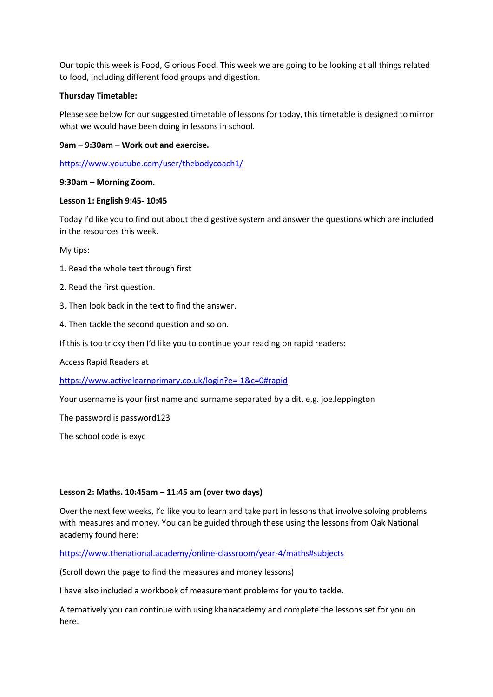Our topic this week is Food, Glorious Food. This week we are going to be looking at all things related to food, including different food groups and digestion.

## **Thursday Timetable:**

Please see below for our suggested timetable of lessons for today, this timetable is designed to mirror what we would have been doing in lessons in school.

### **9am – 9:30am – Work out and exercise.**

<https://www.youtube.com/user/thebodycoach1/>

#### **9:30am – Morning Zoom.**

#### **Lesson 1: English 9:45- 10:45**

Today I'd like you to find out about the digestive system and answer the questions which are included in the resources this week.

My tips:

- 1. Read the whole text through first
- 2. Read the first question.
- 3. Then look back in the text to find the answer.
- 4. Then tackle the second question and so on.
- If this is too tricky then I'd like you to continue your reading on rapid readers:

Access Rapid Readers at

<https://www.activelearnprimary.co.uk/login?e=-1&c=0#rapid>

Your username is your first name and surname separated by a dit, e.g. joe.leppington

The password is password123

The school code is exyc

#### **Lesson 2: Maths. 10:45am – 11:45 am (over two days)**

Over the next few weeks, I'd like you to learn and take part in lessons that involve solving problems with measures and money. You can be guided through these using the lessons from Oak National academy found here:

<https://www.thenational.academy/online-classroom/year-4/maths#subjects>

(Scroll down the page to find the measures and money lessons)

I have also included a workbook of measurement problems for you to tackle.

Alternatively you can continue with using khanacademy and complete the lessons set for you on here.